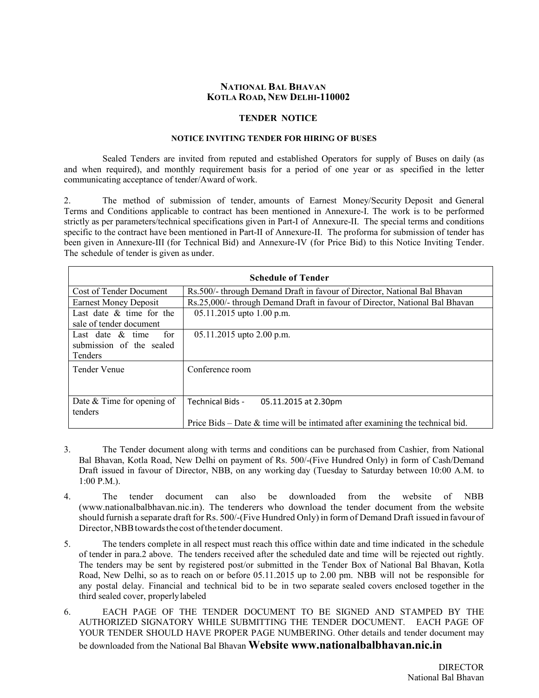### **NATIONAL BAL BHAVAN KOTLA ROAD, NEW DELHI-110002**

#### **TENDER NOTICE**

### **NOTICE INVITING TENDER FOR HIRING OF BUSES**

 Sealed Tenders are invited from reputed and established Operators for supply of Buses on daily (as and when required), and monthly requirement basis for a period of one year or as specified in the letter communicating acceptance of tender/Award of work.

2. The method of submission of tender, amounts of Earnest Money/Security Deposit and General Terms and Conditions applicable to contract has been mentioned in Annexure-I. The work is to be performed strictly as per parameters/technical specifications given in Part-I of Annexure-II. The special terms and conditions specific to the contract have been mentioned in Part-II of Annexure-II. The proforma for submission of tender has been given in Annexure-III (for Technical Bid) and Annexure-IV (for Price Bid) to this Notice Inviting Tender. The schedule of tender is given as under.

|                              | <b>Schedule of Tender</b>                                                        |
|------------------------------|----------------------------------------------------------------------------------|
| Cost of Tender Document      | Rs.500/- through Demand Draft in favour of Director, National Bal Bhavan         |
| <b>Earnest Money Deposit</b> | Rs.25,000/- through Demand Draft in favour of Director, National Bal Bhavan      |
| Last date $\&$ time for the  | $05.11.2015$ upto 1.00 p.m.                                                      |
| sale of tender document      |                                                                                  |
| for<br>Last date $\&$ time   | $05.11.2015$ upto 2.00 p.m.                                                      |
| submission of the sealed     |                                                                                  |
| Tenders                      |                                                                                  |
| Tender Venue                 | Conference room                                                                  |
|                              |                                                                                  |
|                              |                                                                                  |
| Date $&$ Time for opening of | Technical Bids -<br>05.11.2015 at 2.30pm                                         |
| tenders                      |                                                                                  |
|                              | Price Bids – Date $\&$ time will be intimated after examining the technical bid. |

- 3. The Tender document along with terms and conditions can be purchased from Cashier, from National Bal Bhavan, Kotla Road, New Delhi on payment of Rs. 500/-(Five Hundred Only) in form of Cash/Demand Draft issued in favour of Director, NBB, on any working day (Tuesday to Saturday between 10:00 A.M. to 1:00 P.M.).
- 4. The tender document can also be downloaded from the website of NBB (www.nationalbalbhavan.nic.in). The tenderers who download the tender document from the website should furnish a separate draft for Rs. 500/-(Five Hundred Only) in form of Demand Draft issued in favour of Director, NBB towards the cost of the tender document.
- 5. The tenders complete in all respect must reach this office within date and time indicated in the schedule of tender in para.2 above. The tenders received after the scheduled date and time will be rejected out rightly. The tenders may be sent by registered post/or submitted in the Tender Box of National Bal Bhavan, Kotla Road, New Delhi, so as to reach on or before 05.11.2015 up to 2.00 pm. NBB will not be responsible for any postal delay. Financial and technical bid to be in two separate sealed covers enclosed together in the third sealed cover, properly labeled
- 6. EACH PAGE OF THE TENDER DOCUMENT TO BE SIGNED AND STAMPED BY THE AUTHORIZED SIGNATORY WHILE SUBMITTING THE TENDER DOCUMENT. EACH PAGE OF YOUR TENDER SHOULD HAVE PROPER PAGE NUMBERING. Other details and tender document may be downloaded from the National Bal Bhavan **Website www.nationalbalbhavan.nic.in**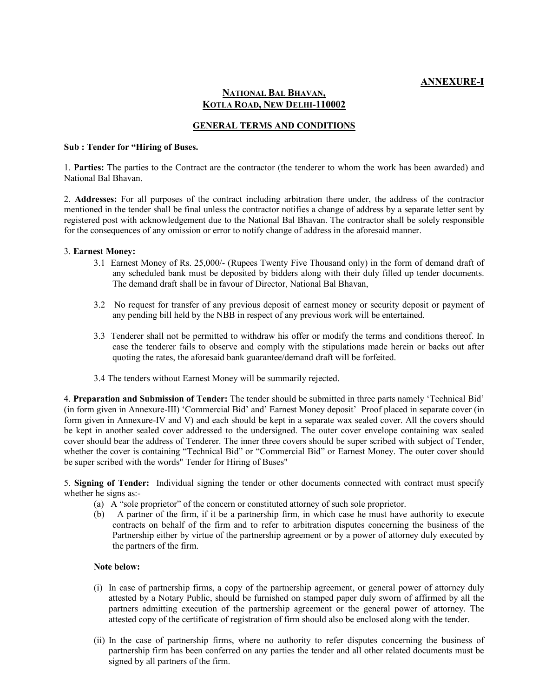### **NATIONAL BAL BHAVAN, KOTLA ROAD, NEW DELHI-110002**

### **GENERAL TERMS AND CONDITIONS**

#### **Sub : Tender for "Hiring of Buses.**

1. **Parties:** The parties to the Contract are the contractor (the tenderer to whom the work has been awarded) and National Bal Bhavan.

2. **Addresses:** For all purposes of the contract including arbitration there under, the address of the contractor mentioned in the tender shall be final unless the contractor notifies a change of address by a separate letter sent by registered post with acknowledgement due to the National Bal Bhavan. The contractor shall be solely responsible for the consequences of any omission or error to notify change of address in the aforesaid manner.

#### 3. **Earnest Money:**

- 3.1 Earnest Money of Rs. 25,000/- (Rupees Twenty Five Thousand only) in the form of demand draft of any scheduled bank must be deposited by bidders along with their duly filled up tender documents. The demand draft shall be in favour of Director, National Bal Bhavan,
- 3.2 No request for transfer of any previous deposit of earnest money or security deposit or payment of any pending bill held by the NBB in respect of any previous work will be entertained.
- 3.3 Tenderer shall not be permitted to withdraw his offer or modify the terms and conditions thereof. In case the tenderer fails to observe and comply with the stipulations made herein or backs out after quoting the rates, the aforesaid bank guarantee/demand draft will be forfeited.
- 3.4 The tenders without Earnest Money will be summarily rejected.

4. **Preparation and Submission of Tender:** The tender should be submitted in three parts namely 'Technical Bid' (in form given in Annexure-III) 'Commercial Bid' and' Earnest Money deposit' Proof placed in separate cover (in form given in Annexure-IV and V) and each should be kept in a separate wax sealed cover. All the covers should be kept in another sealed cover addressed to the undersigned. The outer cover envelope containing wax sealed cover should bear the address of Tenderer. The inner three covers should be super scribed with subject of Tender, whether the cover is containing "Technical Bid" or "Commercial Bid" or Earnest Money. The outer cover should be super scribed with the words" Tender for Hiring of Buses"

5. **Signing of Tender:** Individual signing the tender or other documents connected with contract must specify whether he signs as:-

- (a) A "sole proprietor" of the concern or constituted attorney of such sole proprietor.
- (b) A partner of the firm, if it be a partnership firm, in which case he must have authority to execute contracts on behalf of the firm and to refer to arbitration disputes concerning the business of the Partnership either by virtue of the partnership agreement or by a power of attorney duly executed by the partners of the firm.

### **Note below:**

- (i) In case of partnership firms, a copy of the partnership agreement, or general power of attorney duly attested by a Notary Public, should be furnished on stamped paper duly sworn of affirmed by all the partners admitting execution of the partnership agreement or the general power of attorney. The attested copy of the certificate of registration of firm should also be enclosed along with the tender.
- (ii) In the case of partnership firms, where no authority to refer disputes concerning the business of partnership firm has been conferred on any parties the tender and all other related documents must be signed by all partners of the firm.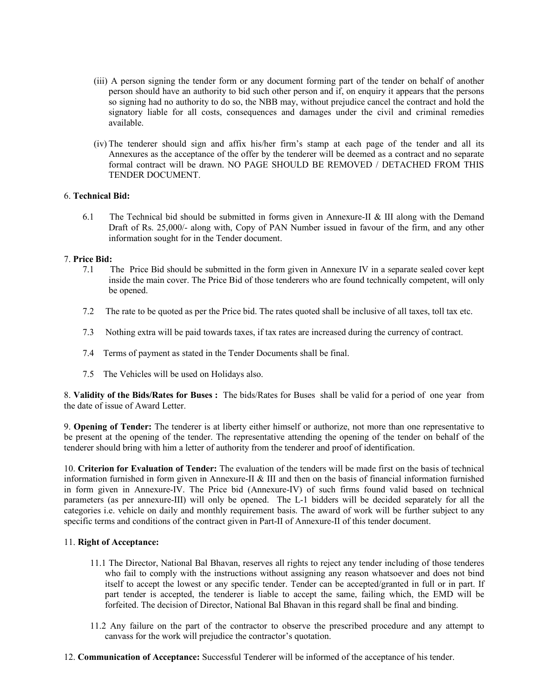- (iii) A person signing the tender form or any document forming part of the tender on behalf of another person should have an authority to bid such other person and if, on enquiry it appears that the persons so signing had no authority to do so, the NBB may, without prejudice cancel the contract and hold the signatory liable for all costs, consequences and damages under the civil and criminal remedies available.
- (iv) The tenderer should sign and affix his/her firm's stamp at each page of the tender and all its Annexures as the acceptance of the offer by the tenderer will be deemed as a contract and no separate formal contract will be drawn. NO PAGE SHOULD BE REMOVED / DETACHED FROM THIS TENDER DOCUMENT.

### 6. **Technical Bid:**

6.1 The Technical bid should be submitted in forms given in Annexure-II & III along with the Demand Draft of Rs. 25,000/- along with, Copy of PAN Number issued in favour of the firm, and any other information sought for in the Tender document.

### 7. **Price Bid:**

- 7.1 The Price Bid should be submitted in the form given in Annexure IV in a separate sealed cover kept inside the main cover. The Price Bid of those tenderers who are found technically competent, will only be opened.
- 7.2 The rate to be quoted as per the Price bid. The rates quoted shall be inclusive of all taxes, toll tax etc.
- 7.3 Nothing extra will be paid towards taxes, if tax rates are increased during the currency of contract.
- 7.4 Terms of payment as stated in the Tender Documents shall be final.
- 7.5 The Vehicles will be used on Holidays also.

8. **Validity of the Bids/Rates for Buses :** The bids/Rates for Buses shall be valid for a period of one year from the date of issue of Award Letter.

9. **Opening of Tender:** The tenderer is at liberty either himself or authorize, not more than one representative to be present at the opening of the tender. The representative attending the opening of the tender on behalf of the tenderer should bring with him a letter of authority from the tenderer and proof of identification.

10. **Criterion for Evaluation of Tender:** The evaluation of the tenders will be made first on the basis of technical information furnished in form given in Annexure-II & III and then on the basis of financial information furnished in form given in Annexure-IV. The Price bid (Annexure-IV) of such firms found valid based on technical parameters (as per annexure-III) will only be opened. The L-1 bidders will be decided separately for all the categories i.e. vehicle on daily and monthly requirement basis. The award of work will be further subject to any specific terms and conditions of the contract given in Part-II of Annexure-II of this tender document.

### 11. **Right of Acceptance:**

- 11.1 The Director, National Bal Bhavan, reserves all rights to reject any tender including of those tenderes who fail to comply with the instructions without assigning any reason whatsoever and does not bind itself to accept the lowest or any specific tender. Tender can be accepted/granted in full or in part. If part tender is accepted, the tenderer is liable to accept the same, failing which, the EMD will be forfeited. The decision of Director, National Bal Bhavan in this regard shall be final and binding.
- 11.2 Any failure on the part of the contractor to observe the prescribed procedure and any attempt to canvass for the work will prejudice the contractor's quotation.
- 12. **Communication of Acceptance:** Successful Tenderer will be informed of the acceptance of his tender.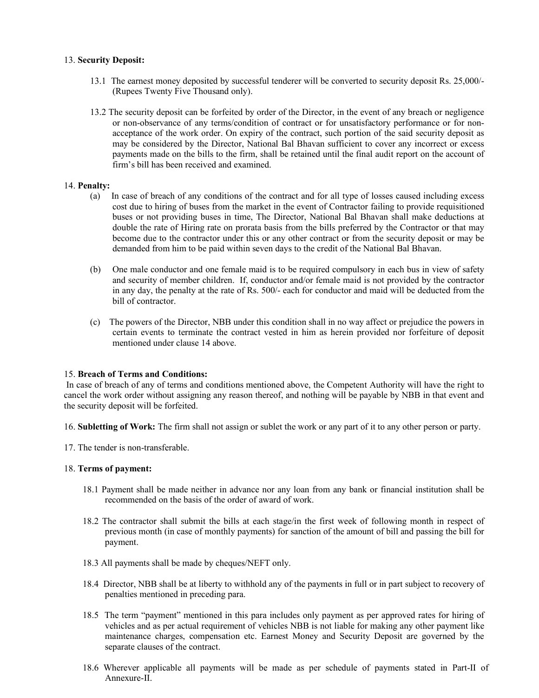### 13. **Security Deposit:**

- 13.1 The earnest money deposited by successful tenderer will be converted to security deposit Rs. 25,000/- (Rupees Twenty Five Thousand only).
- 13.2 The security deposit can be forfeited by order of the Director, in the event of any breach or negligence or non-observance of any terms/condition of contract or for unsatisfactory performance or for nonacceptance of the work order. On expiry of the contract, such portion of the said security deposit as may be considered by the Director, National Bal Bhavan sufficient to cover any incorrect or excess payments made on the bills to the firm, shall be retained until the final audit report on the account of firm's bill has been received and examined.

### 14. **Penalty:**

- (a) In case of breach of any conditions of the contract and for all type of losses caused including excess cost due to hiring of buses from the market in the event of Contractor failing to provide requisitioned buses or not providing buses in time, The Director, National Bal Bhavan shall make deductions at double the rate of Hiring rate on prorata basis from the bills preferred by the Contractor or that may become due to the contractor under this or any other contract or from the security deposit or may be demanded from him to be paid within seven days to the credit of the National Bal Bhavan.
- (b) One male conductor and one female maid is to be required compulsory in each bus in view of safety and security of member children. If, conductor and/or female maid is not provided by the contractor in any day, the penalty at the rate of Rs. 500/- each for conductor and maid will be deducted from the bill of contractor.
- (c) The powers of the Director, NBB under this condition shall in no way affect or prejudice the powers in certain events to terminate the contract vested in him as herein provided nor forfeiture of deposit mentioned under clause 14 above.

### 15. **Breach of Terms and Conditions:**

 In case of breach of any of terms and conditions mentioned above, the Competent Authority will have the right to cancel the work order without assigning any reason thereof, and nothing will be payable by NBB in that event and the security deposit will be forfeited.

16. **Subletting of Work:** The firm shall not assign or sublet the work or any part of it to any other person or party.

17. The tender is non-transferable.

### 18. **Terms of payment:**

- 18.1 Payment shall be made neither in advance nor any loan from any bank or financial institution shall be recommended on the basis of the order of award of work.
- 18.2 The contractor shall submit the bills at each stage/in the first week of following month in respect of previous month (in case of monthly payments) for sanction of the amount of bill and passing the bill for payment.
- 18.3 All payments shall be made by cheques/NEFT only.
- 18.4 Director, NBB shall be at liberty to withhold any of the payments in full or in part subject to recovery of penalties mentioned in preceding para.
- 18.5 The term "payment" mentioned in this para includes only payment as per approved rates for hiring of vehicles and as per actual requirement of vehicles NBB is not liable for making any other payment like maintenance charges, compensation etc. Earnest Money and Security Deposit are governed by the separate clauses of the contract.
- 18.6 Wherever applicable all payments will be made as per schedule of payments stated in Part-II of Annexure-II.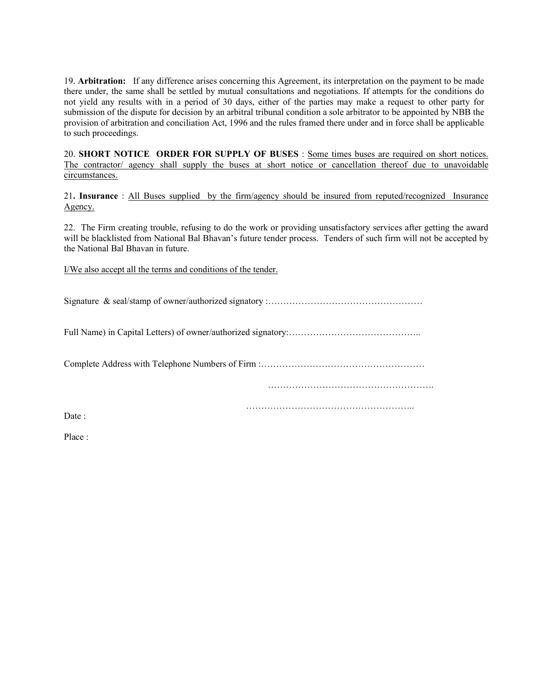19. **Arbitration:** If any difference arises concerning this Agreement, its interpretation on the payment to be made there under, the same shall be settled by mutual consultations and negotiations. If attempts for the conditions do not yield any results with in a period of 30 days, either of the parties may make a request to other party for submission of the dispute for decision by an arbitral tribunal condition a sole arbitrator to be appointed by NBB the provision of arbitration and conciliation Act, 1996 and the rules framed there under and in force shall be applicable to such proceedings.

20. **SHORT NOTICE ORDER FOR SUPPLY OF BUSES** : Some times buses are required on short notices. The contractor/ agency shall supply the buses at short notice or cancellation thereof due to unavoidable circumstances.

21**. Insurance** : All Buses supplied by the firm/agency should be insured from reputed/recognized Insurance Agency.

22. The Firm creating trouble, refusing to do the work or providing unsatisfactory services after getting the award will be blacklisted from National Bal Bhavan's future tender process. Tenders of such firm will not be accepted by the National Bal Bhavan in future.

I/We also accept all the terms and conditions of the tender.

Signature & seal/stamp of owner/authorized signatory :……………………………………………

Full Name) in Capital Letters) of owner/authorized signatory:……………………………………..

Complete Address with Telephone Numbers of Firm :………………………………………………

……………………………………………….

…………………………………………………………………………………

Date:

Place :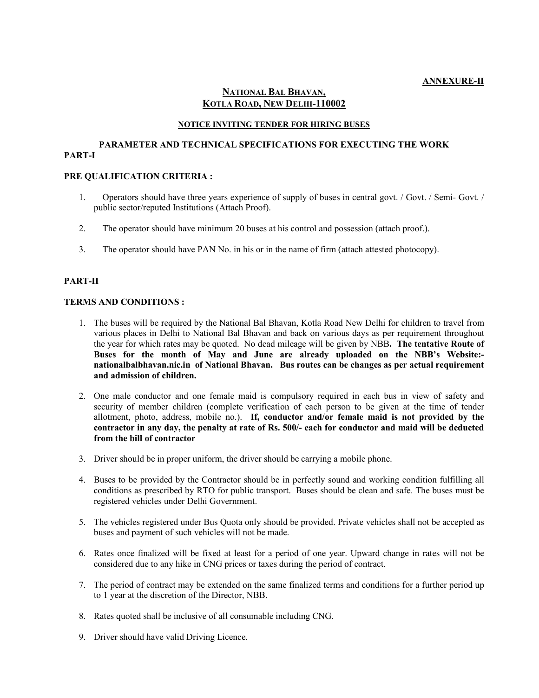### **NATIONAL BAL BHAVAN, KOTLA ROAD, NEW DELHI-110002**

### **NOTICE INVITING TENDER FOR HIRING BUSES**

### **PARAMETER AND TECHNICAL SPECIFICATIONS FOR EXECUTING THE WORK PART-I**

### **PRE QUALIFICATION CRITERIA :**

- 1. Operators should have three years experience of supply of buses in central govt. / Govt. / Semi- Govt. / public sector/reputed Institutions (Attach Proof).
- 2. The operator should have minimum 20 buses at his control and possession (attach proof.).
- 3. The operator should have PAN No. in his or in the name of firm (attach attested photocopy).

### **PART-II**

### **TERMS AND CONDITIONS :**

- 1. The buses will be required by the National Bal Bhavan, Kotla Road New Delhi for children to travel from various places in Delhi to National Bal Bhavan and back on various days as per requirement throughout the year for which rates may be quoted. No dead mileage will be given by NBB**. The tentative Route of Buses for the month of May and June are already uploaded on the NBB's Website: nationalbalbhavan.nic.in of National Bhavan. Bus routes can be changes as per actual requirement and admission of children.**
- 2. One male conductor and one female maid is compulsory required in each bus in view of safety and security of member children (complete verification of each person to be given at the time of tender allotment, photo, address, mobile no.). **If, conductor and/or female maid is not provided by the contractor in any day, the penalty at rate of Rs. 500/- each for conductor and maid will be deducted from the bill of contractor**
- 3. Driver should be in proper uniform, the driver should be carrying a mobile phone.
- 4. Buses to be provided by the Contractor should be in perfectly sound and working condition fulfilling all conditions as prescribed by RTO for public transport. Buses should be clean and safe. The buses must be registered vehicles under Delhi Government.
- 5. The vehicles registered under Bus Quota only should be provided. Private vehicles shall not be accepted as buses and payment of such vehicles will not be made.
- 6. Rates once finalized will be fixed at least for a period of one year. Upward change in rates will not be considered due to any hike in CNG prices or taxes during the period of contract.
- 7. The period of contract may be extended on the same finalized terms and conditions for a further period up to 1 year at the discretion of the Director, NBB.
- 8. Rates quoted shall be inclusive of all consumable including CNG.
- 9. Driver should have valid Driving Licence.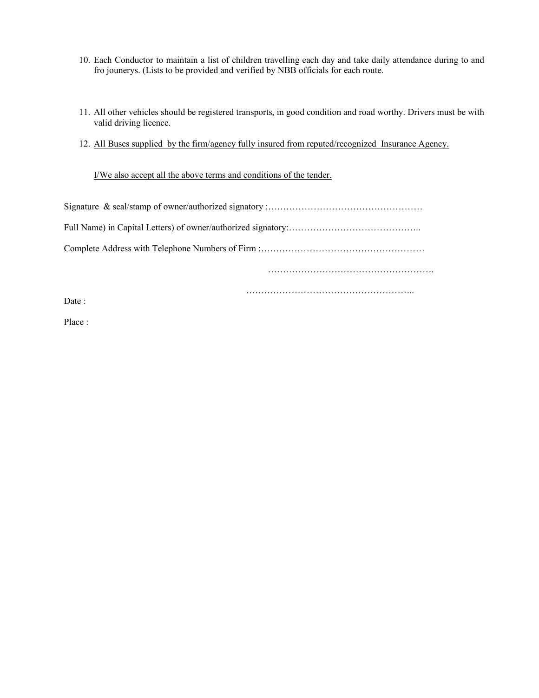- 10. Each Conductor to maintain a list of children travelling each day and take daily attendance during to and fro jounerys. (Lists to be provided and verified by NBB officials for each route.
- 11. All other vehicles should be registered transports, in good condition and road worthy. Drivers must be with valid driving licence.
- 12. All Buses supplied by the firm/agency fully insured from reputed/recognized Insurance Agency.

I/We also accept all the above terms and conditions of the tender.

………………………………………………..

……………………………………………….

Date :

Place :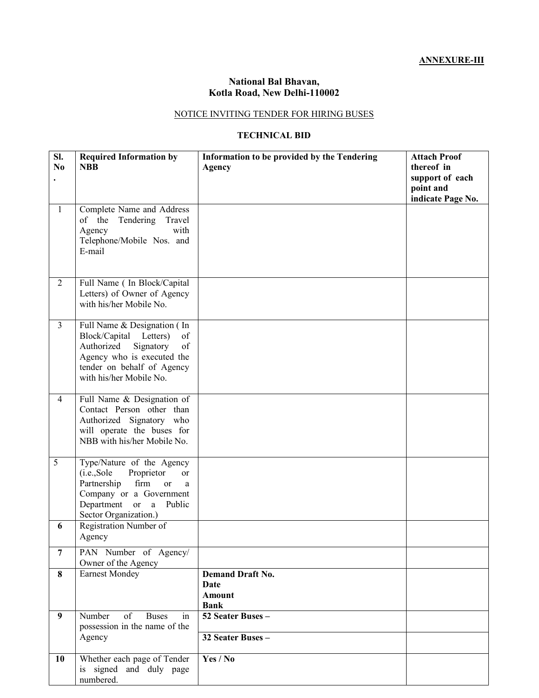# **ANNEXURE-III**

# **National Bal Bhavan, Kotla Road, New Delhi-110002**

# NOTICE INVITING TENDER FOR HIRING BUSES

# **TECHNICAL BID**

| SI.<br>No      | <b>Required Information by</b><br><b>NBB</b>                                                                                                                                        | Information to be provided by the Tendering<br><b>Agency</b>           | <b>Attach Proof</b><br>thereof in<br>support of each<br>point and<br>indicate Page No. |
|----------------|-------------------------------------------------------------------------------------------------------------------------------------------------------------------------------------|------------------------------------------------------------------------|----------------------------------------------------------------------------------------|
| $\mathbf{1}$   | Complete Name and Address<br>of the Tendering<br>Travel<br>with<br>Agency<br>Telephone/Mobile Nos. and<br>E-mail                                                                    |                                                                        |                                                                                        |
| $\overline{2}$ | Full Name ( In Block/Capital<br>Letters) of Owner of Agency<br>with his/her Mobile No.                                                                                              |                                                                        |                                                                                        |
| $\overline{3}$ | Full Name & Designation (In<br>Block/Capital Letters)<br>of<br>Signatory<br>of<br>Authorized<br>Agency who is executed the<br>tender on behalf of Agency<br>with his/her Mobile No. |                                                                        |                                                                                        |
| $\overline{4}$ | Full Name & Designation of<br>Contact Person other than<br>Authorized Signatory who<br>will operate the buses for<br>NBB with his/her Mobile No.                                    |                                                                        |                                                                                        |
| 5              | Type/Nature of the Agency<br>Proprietor<br>(i.e., Solve<br>or<br>Partnership<br>firm<br>or<br>a<br>Company or a Government<br>Department or a<br>Public<br>Sector Organization.)    |                                                                        |                                                                                        |
| 6              | Registration Number of<br>Agency                                                                                                                                                    |                                                                        |                                                                                        |
| $\overline{7}$ | PAN Number of Agency/<br>Owner of the Agency                                                                                                                                        |                                                                        |                                                                                        |
| 8              | <b>Earnest Mondey</b>                                                                                                                                                               | <b>Demand Draft No.</b><br><b>Date</b><br><b>Amount</b><br><b>Bank</b> |                                                                                        |
| 9              | Number<br>of<br><b>Buses</b><br>in<br>possession in the name of the<br>Agency                                                                                                       | 52 Seater Buses -<br>32 Seater Buses -                                 |                                                                                        |
| 10             | Whether each page of Tender<br>is signed and duly page<br>numbered.                                                                                                                 | Yes / No                                                               |                                                                                        |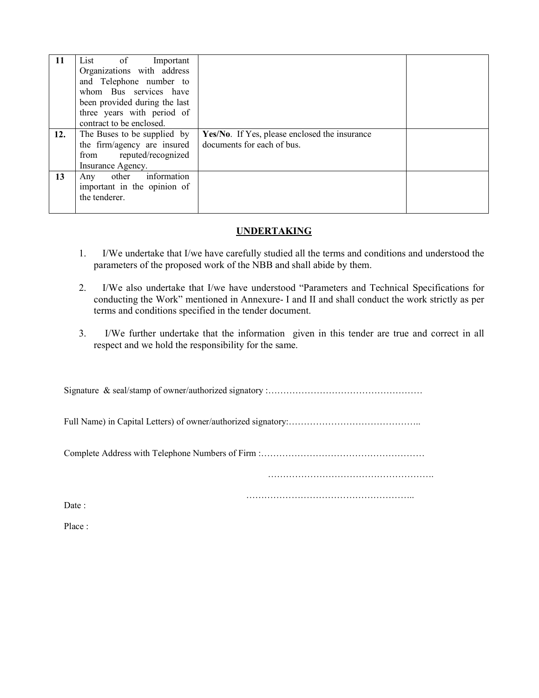| 11  | List of<br>Important<br>Organizations with address<br>and Telephone number to<br>whom Bus services have<br>been provided during the last<br>three years with period of |                                                                             |  |
|-----|------------------------------------------------------------------------------------------------------------------------------------------------------------------------|-----------------------------------------------------------------------------|--|
| 12. | contract to be enclosed.<br>The Buses to be supplied by<br>the firm/agency are insured<br>from reputed/recognized<br>Insurance Agency.                                 | Yes/No. If Yes, please enclosed the insurance<br>documents for each of bus. |  |
| 13  | other information<br>Any<br>important in the opinion of<br>the tenderer.                                                                                               |                                                                             |  |

### **UNDERTAKING**

- 1. I/We undertake that I/we have carefully studied all the terms and conditions and understood the parameters of the proposed work of the NBB and shall abide by them.
- 2. I/We also undertake that I/we have understood "Parameters and Technical Specifications for conducting the Work" mentioned in Annexure- I and II and shall conduct the work strictly as per terms and conditions specified in the tender document.
- 3. I/We further undertake that the information given in this tender are true and correct in all respect and we hold the responsibility for the same.

Signature & seal/stamp of owner/authorized signatory :……………………………………………

Full Name) in Capital Letters) of owner/authorized signatory:……………………………………..

Complete Address with Telephone Numbers of Firm :………………………………………………

……………………………………………….

………………………………………………..

Date :

Place ·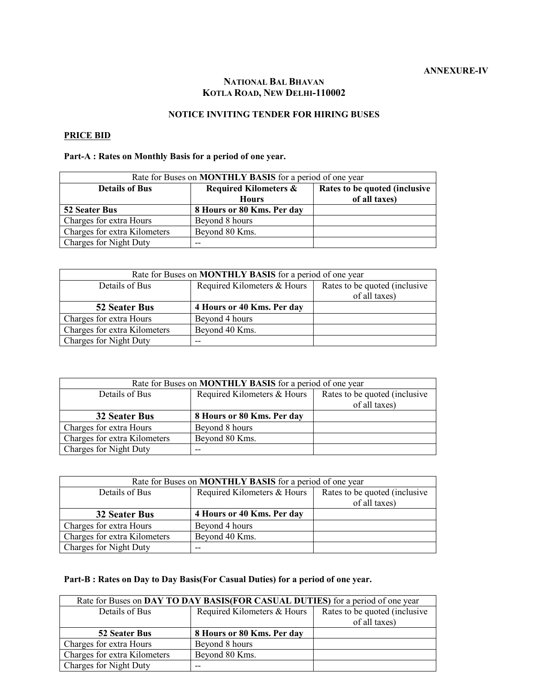### **NATIONAL BAL BHAVAN KOTLA ROAD, NEW DELHI-110002**

### **NOTICE INVITING TENDER FOR HIRING BUSES**

### **PRICE BID**

# **Part-A : Rates on Monthly Basis for a period of one year.**

| Rate for Buses on <b>MONTHLY BASIS</b> for a period of one year |                                  |                                |  |
|-----------------------------------------------------------------|----------------------------------|--------------------------------|--|
| <b>Details of Bus</b>                                           | <b>Required Kilometers &amp;</b> | Rates to be quoted (inclusive) |  |
|                                                                 | <b>Hours</b>                     | of all taxes)                  |  |
| 52 Seater Bus                                                   | 8 Hours or 80 Kms. Per day       |                                |  |
| Charges for extra Hours                                         | Beyond 8 hours                   |                                |  |
| Charges for extra Kilometers                                    | Beyond 80 Kms.                   |                                |  |
| Charges for Night Duty                                          | $- -$                            |                                |  |

| Rate for Buses on <b>MONTHLY BASIS</b> for a period of one year |                             |                                |
|-----------------------------------------------------------------|-----------------------------|--------------------------------|
| Details of Bus                                                  | Required Kilometers & Hours | Rates to be quoted (inclusive) |
|                                                                 |                             | of all taxes)                  |
| 52 Seater Bus                                                   | 4 Hours or 40 Kms. Per day  |                                |
| Charges for extra Hours                                         | Beyond 4 hours              |                                |
| Charges for extra Kilometers                                    | Beyond 40 Kms.              |                                |
| Charges for Night Duty                                          | --                          |                                |

| Rate for Buses on <b>MONTHLY BASIS</b> for a period of one year |                             |                                                 |
|-----------------------------------------------------------------|-----------------------------|-------------------------------------------------|
| Details of Bus                                                  | Required Kilometers & Hours | Rates to be quoted (inclusive)<br>of all taxes) |
| 32 Seater Bus                                                   | 8 Hours or 80 Kms. Per day  |                                                 |
| Charges for extra Hours                                         | Beyond 8 hours              |                                                 |
| Charges for extra Kilometers                                    | Beyond 80 Kms.              |                                                 |
| Charges for Night Duty                                          |                             |                                                 |

| Rate for Buses on <b>MONTHLY BASIS</b> for a period of one year |                             |                                |
|-----------------------------------------------------------------|-----------------------------|--------------------------------|
| Details of Bus                                                  | Required Kilometers & Hours | Rates to be quoted (inclusive) |
|                                                                 |                             | of all taxes)                  |
| 32 Seater Bus                                                   | 4 Hours or 40 Kms. Per day  |                                |
| Charges for extra Hours                                         | Beyond 4 hours              |                                |
| Charges for extra Kilometers                                    | Beyond 40 Kms.              |                                |
| Charges for Night Duty                                          |                             |                                |

# **Part-B : Rates on Day to Day Basis(For Casual Duties) for a period of one year.**

| Rate for Buses on DAY TO DAY BASIS (FOR CASUAL DUTIES) for a period of one year |                             |                                |
|---------------------------------------------------------------------------------|-----------------------------|--------------------------------|
| Details of Bus                                                                  | Required Kilometers & Hours | Rates to be quoted (inclusive) |
|                                                                                 |                             | of all taxes)                  |
| 52 Seater Bus                                                                   | 8 Hours or 80 Kms. Per day  |                                |
| Charges for extra Hours                                                         | Beyond 8 hours              |                                |
| Charges for extra Kilometers                                                    | Beyond 80 Kms.              |                                |
| Charges for Night Duty                                                          |                             |                                |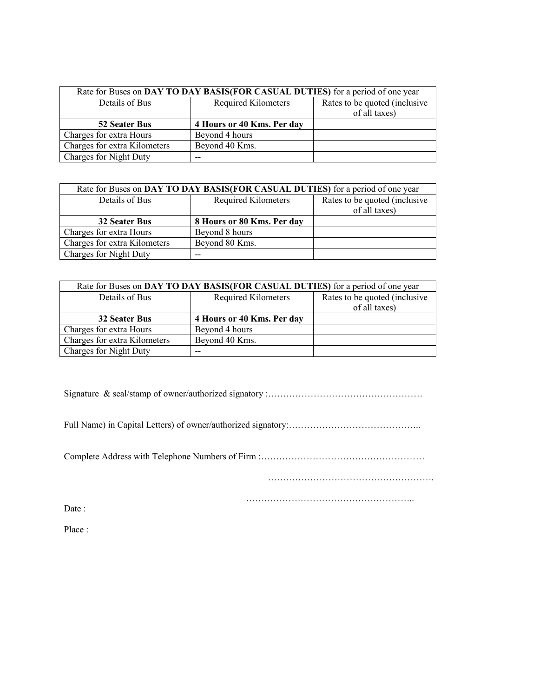| Rate for Buses on DAY TO DAY BASIS (FOR CASUAL DUTIES) for a period of one year |                            |                                |
|---------------------------------------------------------------------------------|----------------------------|--------------------------------|
| Details of Bus                                                                  | Required Kilometers        | Rates to be quoted (inclusive) |
|                                                                                 |                            | of all taxes)                  |
| <b>52 Seater Bus</b>                                                            | 4 Hours or 40 Kms. Per day |                                |
| Charges for extra Hours                                                         | Beyond 4 hours             |                                |
| Charges for extra Kilometers                                                    | Beyond 40 Kms.             |                                |
| Charges for Night Duty                                                          | --                         |                                |

| Rate for Buses on DAY TO DAY BASIS (FOR CASUAL DUTIES) for a period of one year |                            |                                                 |
|---------------------------------------------------------------------------------|----------------------------|-------------------------------------------------|
| Details of Bus                                                                  | Required Kilometers        | Rates to be quoted (inclusive)<br>of all taxes) |
| <b>32 Seater Bus</b>                                                            | 8 Hours or 80 Kms. Per day |                                                 |
| Charges for extra Hours                                                         | Beyond 8 hours             |                                                 |
| Charges for extra Kilometers                                                    | Beyond 80 Kms.             |                                                 |
| Charges for Night Duty                                                          |                            |                                                 |

| Rate for Buses on DAY TO DAY BASIS (FOR CASUAL DUTIES) for a period of one year |                            |                                |  |
|---------------------------------------------------------------------------------|----------------------------|--------------------------------|--|
| Details of Bus                                                                  | Required Kilometers        | Rates to be quoted (inclusive) |  |
|                                                                                 |                            | of all taxes)                  |  |
| <b>32 Seater Bus</b>                                                            | 4 Hours or 40 Kms. Per day |                                |  |
| Charges for extra Hours                                                         | Beyond 4 hours             |                                |  |
| Charges for extra Kilometers                                                    | Beyond 40 Kms.             |                                |  |
| Charges for Night Duty                                                          | $- -$                      |                                |  |

Signature & seal/stamp of owner/authorized signatory :……………………………………………

Full Name) in Capital Letters) of owner/authorized signatory:……………………………………..

Complete Address with Telephone Numbers of Firm :………………………………………………

……………………………………………….

………………………………………………..

Date :

Place :